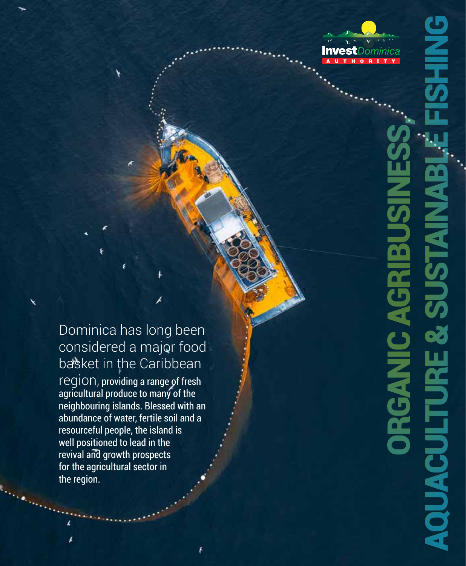UTHORIT

Dominica has long been considered a major food basket in the Caribbean region, providing a range of fresh agricultural produce to many of the neighbouring islands. Blessed with an abundance of water, fertile soil and a resourceful people, the island is well positioned to lead in the revival and growth prospects for the agricultural sector in the region.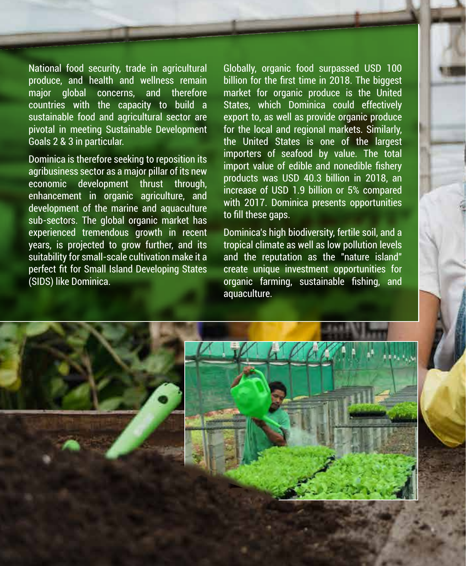National food security, trade in agricultural produce, and health and wellness remain major global concerns, and therefore countries with the capacity to build a sustainable food and agricultural sector are pivotal in meeting Sustainable Development Goals 2 & 3 in particular.

Dominica is therefore seeking to reposition its agribusiness sector as a major pillar of its new<br>economic development thrust through. economic development thrust through, enhancement in organic agriculture, and development of the marine and aquaculture sub-sectors. The global organic market has experienced tremendous growth in recent years, is projected to grow further, and its suitability for small-scale cultivation make it a perfect fit for Small Island Developing States (SIDS) like Dominica.

Globally, organic food surpassed USD 100 billion for the first time in 2018. The biggest market for organic produce is the United States, which Dominica could effectively export to, as well as provide organic produce for the local and regional markets. Similarly, the United States is one of the largest importers of seafood by value. The total import value of edible and nonedible fishery products was USD 40.3 billion in 2018, an increase of USD 1.9 billion or 5% compared with 2017. Dominica presents opportunities to fill these gaps.

Dominica's high biodiversity, fertile soil, and a tropical climate as well as low pollution levels and the reputation as the "nature island" create unique investment opportunities for organic farming, sustainable fishing, and aquaculture.

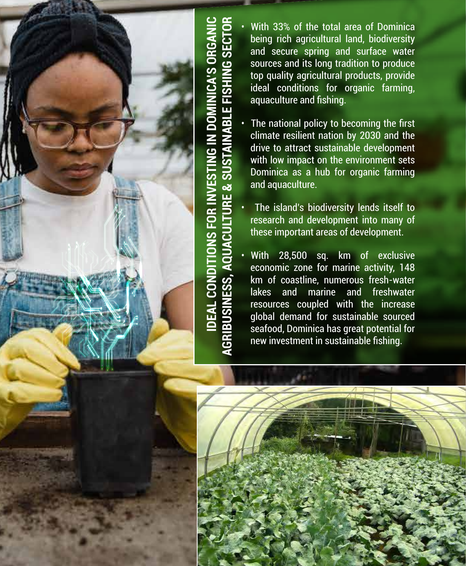

With 33% of the total area of Dominica being rich agricultural land, biodiversity and secure spring and surface water sources and its long tradition to produce top quality agricultural products, provide ideal conditions for organic farming, aquaculture and fishing.

The national policy to becoming the first climate resilient nation by 2030 and the drive to attract sustainable development with low impact on the environment sets Dominica as a hub for organic farming and aquaculture.

**AGRIBUSINESS, AQUACULTURE & SUSTAINABLE FISHING SECTOR**

**AGRIBUSINESS, AQUACULTURE & SUSTAINABLE FISHING SECTOR** 

- The island's biodiversity lends itself to research and development into many of these important areas of development.
- With 28,500 sq. km of exclusive economic zone for marine activity, 148 km of coastline, numerous fresh-water lakes and marine and freshwater resources coupled with the increase global demand for sustainable sourced seafood, Dominica has great potential for new investment in sustainable fishing.